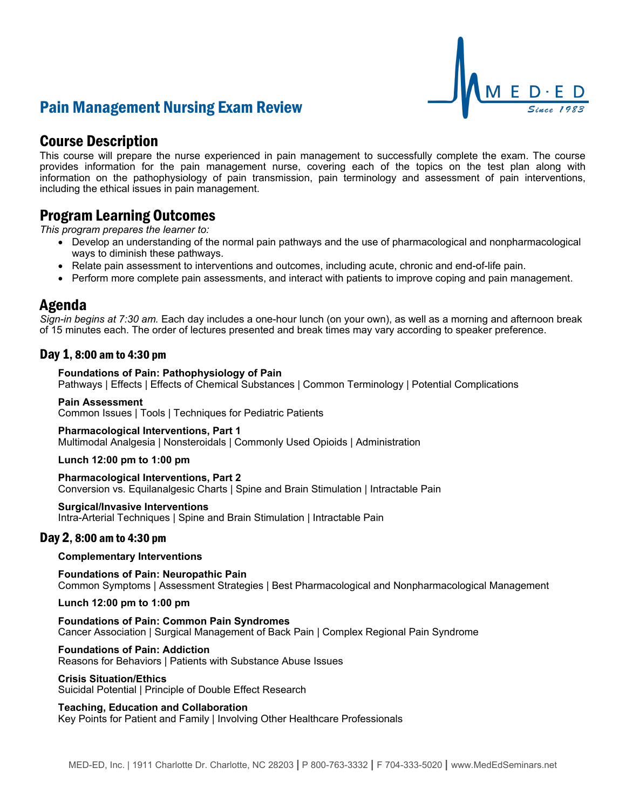# Pain Management Nursing Exam Review



# Course Description

This course will prepare the nurse experienced in pain management to successfully complete the exam. The course provides information for the pain management nurse, covering each of the topics on the test plan along with information on the pathophysiology of pain transmission, pain terminology and assessment of pain interventions, including the ethical issues in pain management.

# Program Learning Outcomes

*This program prepares the learner to:*

- Develop an understanding of the normal pain pathways and the use of pharmacological and nonpharmacological ways to diminish these pathways.
- Relate pain assessment to interventions and outcomes, including acute, chronic and end-of-life pain.
- Perform more complete pain assessments, and interact with patients to improve coping and pain management.

## Agenda

*Sign-in begins at 7:30 am.* Each day includes a one-hour lunch (on your own), as well as a morning and afternoon break of 15 minutes each. The order of lectures presented and break times may vary according to speaker preference.

## Day 1, 8:00 am to 4:30 pm

#### **Foundations of Pain: Pathophysiology of Pain**

Pathways | Effects | Effects of Chemical Substances | Common Terminology | Potential Complications

#### **Pain Assessment**

Common Issues | Tools | Techniques for Pediatric Patients

#### **Pharmacological Interventions, Part 1**

Multimodal Analgesia | Nonsteroidals | Commonly Used Opioids | Administration

#### **Lunch 12:00 pm to 1:00 pm**

#### **Pharmacological Interventions, Part 2**

Conversion vs. Equilanalgesic Charts | Spine and Brain Stimulation | Intractable Pain

#### **Surgical/Invasive Interventions**

Intra-Arterial Techniques | Spine and Brain Stimulation | Intractable Pain

### Day 2, 8:00 am to 4:30 pm

#### **Complementary Interventions**

**Foundations of Pain: Neuropathic Pain** Common Symptoms | Assessment Strategies | Best Pharmacological and Nonpharmacological Management

**Lunch 12:00 pm to 1:00 pm**

**Foundations of Pain: Common Pain Syndromes** Cancer Association | Surgical Management of Back Pain | Complex Regional Pain Syndrome

#### **Foundations of Pain: Addiction**

Reasons for Behaviors | Patients with Substance Abuse Issues

#### **Crisis Situation/Ethics**

Suicidal Potential | Principle of Double Effect Research

**Teaching, Education and Collaboration**

Key Points for Patient and Family | Involving Other Healthcare Professionals